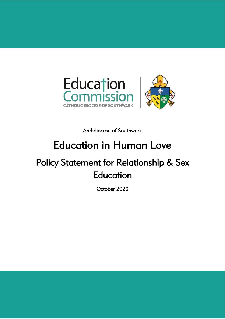

Archdiocese of Southwark

# Education in Human Love

## Policy Statement for Relationship & Sex Education

October 2020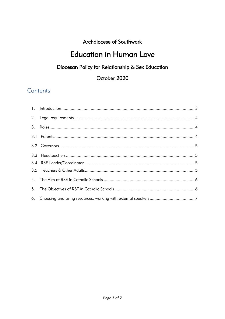## Archdiocese of Southwark

## **Education in Human Love**

## Diocesan Policy for Relationship & Sex Education

### October 2020

## Contents

| 2.   |  |
|------|--|
| 3.   |  |
| 3. I |  |
|      |  |
|      |  |
|      |  |
|      |  |
|      |  |
| 5.   |  |
| 6.   |  |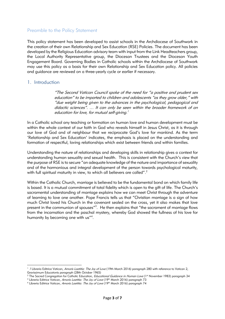#### Preamble to the Policy Statement

This policy statement has been developed to assist schools in the Archdiocese of Southwark in the creation of their own Relationship and Sex Education (RSE) Policies. The document has been developed by the Religious Education advisory team with input from the Link Headteachers group, the Local Authority Representative group, the Diocesan Trustees and the Diocesan Youth Engagement Board. Governing Bodies in Catholic schools within the Archdiocese of Southwark may use this policy as a basis for their own Relationship and Sex Education policy. All policies and guidance are reviewed on a three-yearly cycle or earlier if necessary.

#### <span id="page-2-0"></span>1. Introduction

<span id="page-2-1"></span>**.** 

"The Second Vatican Council spoke of the need for "a positive and prudent sex education" to be imparted to children and adolescents "as they grow older," with "due weight being given to the advances in the psychological, pedagogical and didactic sciences". … It can only be seen within the broader framework of an education for love, for mutual self-giving.<sup>1</sup>

In a Catholic school any teaching or formation on human love and human development must be within the whole context of our faith in God who reveals himself in Jesus Christ, as it is through our love of God and of neighbour that we reciprocate God's love for mankind. As the term 'Relationship and Sex Education' indicates, the emphasis is placed on the understanding and formation of respectful, loving relationships which exist between friends and within families.

Understanding the nature of relationships and developing skills in relationship gives a context for understanding human sexuality and sexual health. This is consistent with the Church's view that the purpose of RSE is to secure "an adequate knowledge of the nature and importance of sexuality and of the harmonious and integral development of the person towards psychological maturity, with full spiritual maturity in view, to which all believers are called". $^2$ 

Within the Catholic Church, marriage is believed to be the fundamental bond on which family life is based. It is a mutual commitment of total fidelity which is open to the gift of life. The Church's sacramental understanding of marriage explains how we can meet Christ through the adventure of learning to love one another. Pope Francis tells us that "Christian marriage is a sign of how much Christ loved his Church in the covenant sealed on the cross, yet it also makes that love present in the communion of spouses"<sup>3</sup>. He then explains that "the sacrament of marriage flows from the incarnation and the paschal mystery, whereby God showed the fullness of his love for humanity by becoming one with us"<sup>4</sup>.

<sup>&</sup>lt;sup>1</sup> / Libreria Editrice Vatican, Amoris Laetitia: The Joy of Love (19th March 2016) paragraph 280 with reference to Vatican 2, Gravissimum Educatonis paragraph (28th October 1965)

<sup>&</sup>lt;sup>2</sup> The Sacred Congregation for Catholic Education, *Educational Guidance in Human Love* (1st November 1983) paragraph 34

<sup>&</sup>lt;sup>3</sup> Libreria Editrice Vatican, Amoris Laetitia: The Joy of Love (19<sup>th</sup> March 2016) paragraph 73

<sup>&</sup>lt;sup>4</sup> Libreria Editrice Vatican, Amoris Laetitia: The Joy of Love (19<sup>th</sup> March 2016) paragraph 74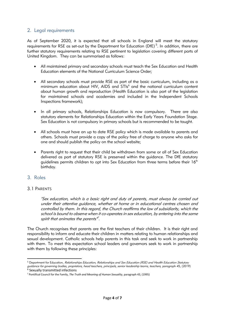#### 2. Legal requirements

As of September 2020, it is expected that all schools in England will meet the statutory requirements for RSE as set-out by the Department for Education (DfE) $^5$ . In addition, there are further statutory requirements relating to RSE pertinent to legislation covering different parts of United Kingdom. They can be summarised as follows:

- All maintained primary and secondary schools must teach the Sex Education and Health Education elements of the National Curriculum Science Order;
- All secondary schools must provide RSE as part of the basic curriculum, including as a minimum education about HIV, AIDS and STIs<sup>6</sup> and the national curriculum content about human growth and reproduction (Health Education is also part of the legislation for maintained schools and academies and included in the Independent Schools Inspections framework);
- In all primary schools, Relationships Education is now compulsory. There are also statutory elements for Relationships Education within the Early Years Foundation Stage. Sex Education is not compulsory in primary schools but is recommended to be taught.
- All schools must have an up to date RSE policy which is made available to parents and others. Schools must provide a copy of the policy free of charge to anyone who asks for one and should publish the policy on the school website;
- Parents right to request that their child be withdrawn from some or all of Sex Education delivered as part of statutory RSE is preserved within the guidance. The DfE statutory guidelines permits children to opt into Sex Education from three terms before their  $16<sup>th</sup>$ birthday.

#### <span id="page-3-1"></span><span id="page-3-0"></span>3. Roles

#### 3.1 PARENTS

"Sex education, which is a basic right and duty of parents, must always be carried out under their attentive guidance, whether at home or in educational centres chosen and controlled by them. In this regard, the Church reaffirms the law of subsidiarity, which the school is bound to observe when it co-operates in sex education, by entering into the same spirit that animates the parents".

The Church recognises that parents are the first teachers of their children. It is their right and responsibility to inform and educate their children in matters relating to human relationships and sexual development. Catholic schools help parents in this task and seek to work in partnership with them. To meet this expectation school leaders and governors seek to work in partnership with them by following these principles:

**<sup>.</sup>** <sup>5</sup> Department for Education, Relationships Education, Relationships and Sex Education (RSE) and Health Education Statutory *guidance for governing bodies, proprietors, head teachers, principals, senior leadership teams, teachers,* paragraph 45, (2019)<br><sup>6</sup> Sexually transmitted infections

<sup>7</sup> Pontifical Council for the Family, *The Truth and Meaning of Human Sexuality*, paragraph 43, (1995)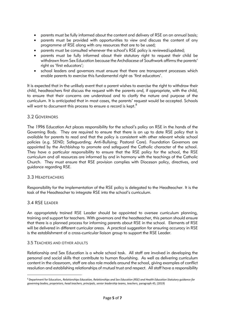- parents must be fully informed about the content and delivery of RSE on an annual basis;
- parents must be provided with opportunities to view and discuss the content of any programme of RSE along with any resources that are to be used;
- parents must be consulted whenever the school's RSE policy is reviewed/updated;
- parents must be fully informed about their statutory right to request their child be withdrawn from Sex Education because the Archdiocese of Southwark affirms the parents' right as 'first educators';
- school leaders and governors must ensure that there are transparent processes which enable parents to exercise this fundamental right as 'first educators'.

It is expected that in the unlikely event that a parent wishes to exercise the right to withdraw their child, headteachers first discuss the request with the parents and, if appropriate, with the child, to ensure that their concerns are understood and to clarify the nature and purpose of the curriculum. It is anticipated that in most cases, the parents' request would be accepted. Schools will want to document this process to ensure a record is kept. $^8$ 

#### <span id="page-4-0"></span>3.2 GOVERNORS

The 1996 Education Act places responsibility for the school's policy on RSE in the hands of the Governing Body. They are required to ensure that there is an up to date RSE policy that is available for parents to read and that the policy is consistent with other relevant whole school policies (e.g. SEND; Safeguarding; Anti-Bullying; Pastoral Care). Foundation Governors are appointed by the Archbishop to promote and safeguard the Catholic character of the school. They have a particular responsibility to ensure that the RSE policy for the school, the RSE curriculum and all resources are informed by and in harmony with the teachings of the Catholic Church. They must ensure that RSE provision complies with Diocesan policy, directives, and guidance regarding RSE.

#### <span id="page-4-1"></span>3.3 HEADTEACHERS

Responsibility for the implementation of the RSE policy is delegated to the Headteacher. It is the task of the Headteacher to integrate RSE into the school's curriculum.

#### 3.4 RSE LEADER

**.** 

An appropriately trained RSE Leader should be appointed to oversee curriculum planning, training and support for teachers. With governors and the headteacher, this person should ensure that there is a planned process for informing parents about RSE in the school. Elements of RSE will be delivered in different curricular areas. A practical suggestion for ensuring accuracy in RSE is the establishment of a cross-curricular liaison group to support the RSE Leader.

#### 3.5 TEACHERS AND OTHER ADULTS

Relationship and Sex Education is a whole school task. All staff are involved in developing the personal and social skills that contribute to human flourishing. As well as delivering curriculum content in the classroom, staff are also role models around the school, giving examples of conflict resolution and establishing relationships of mutual trust and respect. All staff have a responsibility

<sup>8</sup> Department for Education, *Relationships Education, Relationships and Sex Education (RSE) and Health Education Statutory guidance for governing bodies, proprietors, head teachers, principals, senior leadership teams, teachers,* paragraph 45, (2019)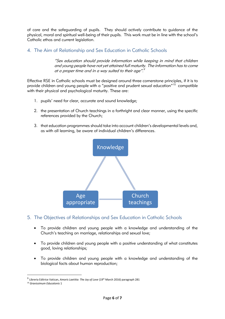of care and the safeguarding of pupils. They should actively contribute to guidance of the physical, moral and spiritual well-being of their pupils. This work must be in line with the school's Catholic ethos and current legislation.

#### <span id="page-5-0"></span>4. The Aim of Relationship and Sex Education in Catholic Schools

"Sex education should provide information while keeping in mind that children and young people have not yet attained full maturity. The information has to come at a proper time and in a way suited to their age".<sup>9</sup>

Effective RSE in Catholic schools must be designed around three cornerstone principles, if it is to provide children and young people with a "positive and prudent sexual education"<sup>10</sup> compatible with their physical and psychological maturity. These are:

- 1. pupils' need for clear, accurate and sound knowledge;
- 2. the presentation of Church teachings in a forthright and clear manner, using the specific references provided by the Church;
- 3. that education programmes should take into account children's developmental levels and, as with all learning, be aware of individual children's differences.



- <span id="page-5-1"></span>5. The Objectives of Relationships and Sex Education in Catholic Schools
	- To provide children and young people with a knowledge and understanding of the Church's teaching on marriage, relationships and sexual love;
	- To provide children and young people with a positive understanding of what constitutes good, loving relationships;
	- To provide children and young people with a knowledge and understanding of the biological facts about human reproduction;

**.** 

<sup>&</sup>lt;sup>9</sup> Libreria Editrice Vatican, *Amoris Laetitia: The Joy of Love* (19<sup>th</sup> March 2016) paragraph 281

<sup>10</sup> *Gravissimum Educatonis* 1